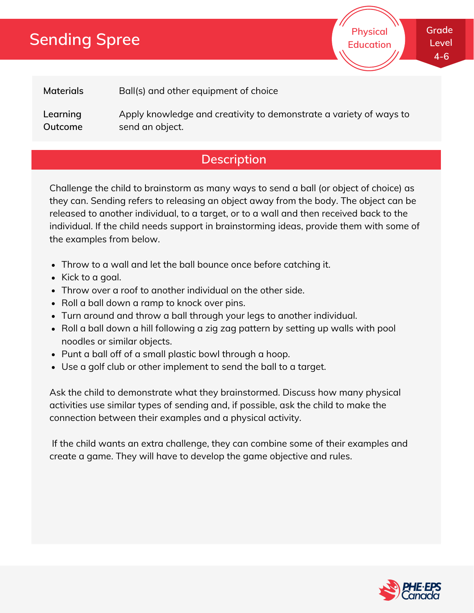# **Sending Spree**

**Physical Education** **Grade Level 4-6**

**Materials** Ball(s) and other equipment of choice

**Learning Outcome** Apply knowledge and creativity to demonstrate a variety of ways to send an object.

### **Description**

Challenge the child to brainstorm as many ways to send a ball (or object of choice) as they can. Sending refers to releasing an object away from the body. The object can be released to another individual, to a target, or to a wall and then received back to the individual. If the child needs support in brainstorming ideas, provide them with some of the examples from below.

- Throw to a wall and let the ball bounce once before catching it.
- Kick to a goal.
- Throw over a roof to another individual on the other side.
- Roll a ball down a ramp to knock over pins.
- Turn around and throw a ball through your legs to another individual.
- Roll a ball down a hill following a zig zag pattern by setting up walls with pool noodles or similar objects.
- Punt a ball off of a small plastic bowl through a hoop.
- Use a golf club or other implement to send the ball to a target.

Ask the child to demonstrate what they brainstormed. Discuss how many physical activities use similar types of sending and, if possible, ask the child to make the connection between their examples and a physical activity.

If the child wants an extra challenge, they can combine some of their examples and create a game. They will have to develop the game objective and rules.